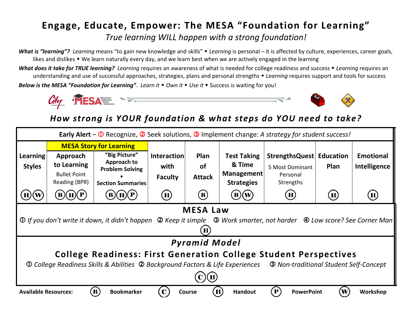## **Engage, Educate, Empower: The MESA "Foundation for Learning"** *True learning WILL happen with a strong foundation!*

*What is "learning"? Learning* means "to gain new knowledge and skills" *Learning* is personal – it is affected by culture, experiences, career goals, likes and dislikes • We learn naturally every day, and we learn best when we are actively engaged in the learning

*What does it take for TRUE learning?**Learning* requires an awareness of what is needed for college readiness and success *Learning* requires an understanding and use of successful approaches, strategies, plans and personal strengths *Learning* requires support and tools for success *Below is the MESA "Foundation for Learning". Learn it • Own it • Use it • Success is waiting for you!* 



## *How strong is YOUR foundation & what steps do YOU need to take?*